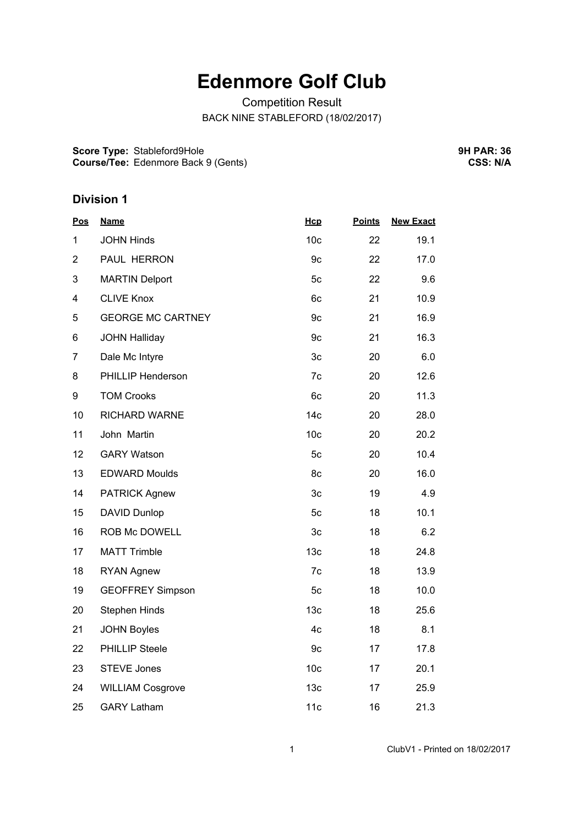## **Edenmore Golf Club**

Competition Result BACK NINE STABLEFORD (18/02/2017)

**Score Type:** Stableford9Hole **Course/Tee:** Edenmore Back 9 (Gents) **9H PAR: 36 CSS: N/A**

## **Division 1**

| <b>Pos</b>     | <b>Name</b>              | Hcp             | <b>Points</b> | <b>New Exact</b> |
|----------------|--------------------------|-----------------|---------------|------------------|
| 1              | <b>JOHN Hinds</b>        | 10 <sub>c</sub> | 22            | 19.1             |
| $\overline{2}$ | PAUL HERRON              | 9c              | 22            | 17.0             |
| 3              | <b>MARTIN Delport</b>    | 5c              | 22            | 9.6              |
| 4              | <b>CLIVE Knox</b>        | 6c              | 21            | 10.9             |
| 5              | <b>GEORGE MC CARTNEY</b> | 9c              | 21            | 16.9             |
| 6              | <b>JOHN Halliday</b>     | 9c              | 21            | 16.3             |
| $\overline{7}$ | Dale Mc Intyre           | 3c              | 20            | 6.0              |
| 8              | PHILLIP Henderson        | 7c              | 20            | 12.6             |
| 9              | <b>TOM Crooks</b>        | 6c              | 20            | 11.3             |
| 10             | RICHARD WARNE            | 14 <sub>c</sub> | 20            | 28.0             |
| 11             | John Martin              | 10 <sub>c</sub> | 20            | 20.2             |
| 12             | <b>GARY Watson</b>       | 5c              | 20            | 10.4             |
| 13             | <b>EDWARD Moulds</b>     | 8c              | 20            | 16.0             |
| 14             | <b>PATRICK Agnew</b>     | 3c              | 19            | 4.9              |
| 15             | DAVID Dunlop             | 5c              | 18            | 10.1             |
| 16             | ROB Mc DOWELL            | 3c              | 18            | 6.2              |
| 17             | <b>MATT Trimble</b>      | 13 <sub>c</sub> | 18            | 24.8             |
| 18             | <b>RYAN Agnew</b>        | 7c              | 18            | 13.9             |
| 19             | <b>GEOFFREY Simpson</b>  | 5c              | 18            | 10.0             |
| 20             | <b>Stephen Hinds</b>     | 13 <sub>c</sub> | 18            | 25.6             |
| 21             | <b>JOHN Boyles</b>       | 4c              | 18            | 8.1              |
| 22             | PHILLIP Steele           | 9c              | 17            | 17.8             |
| 23             | <b>STEVE Jones</b>       | 10 <sub>c</sub> | 17            | 20.1             |
| 24             | <b>WILLIAM Cosgrove</b>  | 13 <sub>c</sub> | 17            | 25.9             |
| 25             | <b>GARY Latham</b>       | 11c             | 16            | 21.3             |